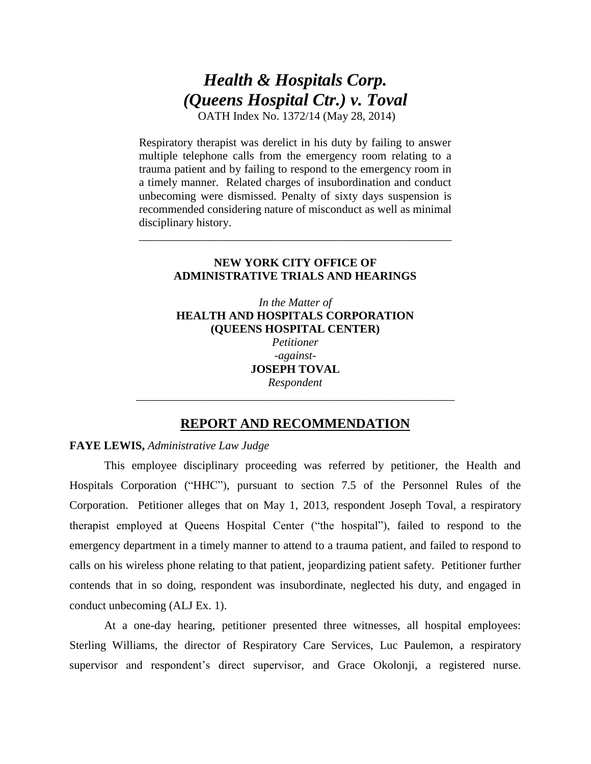# *Health & Hospitals Corp. (Queens Hospital Ctr.) v. Toval*

OATH Index No. 1372/14 (May 28, 2014)

Respiratory therapist was derelict in his duty by failing to answer multiple telephone calls from the emergency room relating to a trauma patient and by failing to respond to the emergency room in a timely manner. Related charges of insubordination and conduct unbecoming were dismissed. Penalty of sixty days suspension is recommended considering nature of misconduct as well as minimal disciplinary history.

## **NEW YORK CITY OFFICE OF ADMINISTRATIVE TRIALS AND HEARINGS**

\_\_\_\_\_\_\_\_\_\_\_\_\_\_\_\_\_\_\_\_\_\_\_\_\_\_\_\_\_\_\_\_\_\_\_\_\_\_\_\_\_\_\_\_\_\_\_\_\_\_\_\_\_\_

*In the Matter of*  **HEALTH AND HOSPITALS CORPORATION (QUEENS HOSPITAL CENTER)**  *Petitioner -against-***JOSEPH TOVAL**  *Respondent*

# **REPORT AND RECOMMENDATION**

\_\_\_\_\_\_\_\_\_\_\_\_\_\_\_\_\_\_\_\_\_\_\_\_\_\_\_\_\_\_\_\_\_\_\_\_\_\_\_\_\_\_\_\_\_\_\_\_\_\_\_\_\_\_\_

## **FAYE LEWIS,** *Administrative Law Judge*

This employee disciplinary proceeding was referred by petitioner, the Health and Hospitals Corporation ("HHC"), pursuant to section 7.5 of the Personnel Rules of the Corporation. Petitioner alleges that on May 1, 2013, respondent Joseph Toval, a respiratory therapist employed at Queens Hospital Center ("the hospital"), failed to respond to the emergency department in a timely manner to attend to a trauma patient, and failed to respond to calls on his wireless phone relating to that patient, jeopardizing patient safety. Petitioner further contends that in so doing, respondent was insubordinate, neglected his duty, and engaged in conduct unbecoming (ALJ Ex. 1).

At a one-day hearing, petitioner presented three witnesses, all hospital employees: Sterling Williams, the director of Respiratory Care Services, Luc Paulemon, a respiratory supervisor and respondent's direct supervisor, and Grace Okolonji, a registered nurse.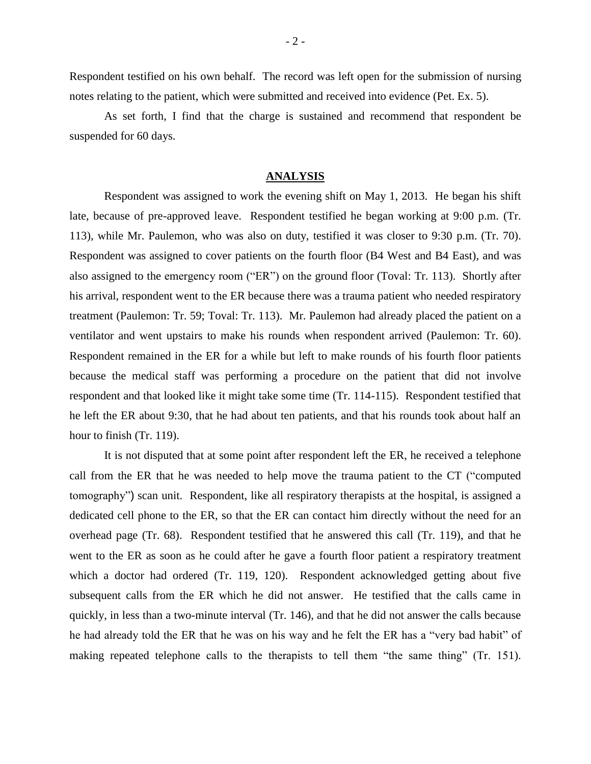Respondent testified on his own behalf. The record was left open for the submission of nursing notes relating to the patient, which were submitted and received into evidence (Pet. Ex. 5).

As set forth, I find that the charge is sustained and recommend that respondent be suspended for 60 days.

#### **ANALYSIS**

Respondent was assigned to work the evening shift on May 1, 2013. He began his shift late, because of pre-approved leave. Respondent testified he began working at 9:00 p.m. (Tr. 113), while Mr. Paulemon, who was also on duty, testified it was closer to 9:30 p.m. (Tr. 70). Respondent was assigned to cover patients on the fourth floor (B4 West and B4 East), and was also assigned to the emergency room ("ER") on the ground floor (Toval: Tr. 113). Shortly after his arrival, respondent went to the ER because there was a trauma patient who needed respiratory treatment (Paulemon: Tr. 59; Toval: Tr. 113). Mr. Paulemon had already placed the patient on a ventilator and went upstairs to make his rounds when respondent arrived (Paulemon: Tr. 60). Respondent remained in the ER for a while but left to make rounds of his fourth floor patients because the medical staff was performing a procedure on the patient that did not involve respondent and that looked like it might take some time (Tr. 114-115). Respondent testified that he left the ER about 9:30, that he had about ten patients, and that his rounds took about half an hour to finish (Tr. 119).

It is not disputed that at some point after respondent left the ER, he received a telephone call from the ER that he was needed to help move the trauma patient to the CT ("computed tomography") scan unit. Respondent, like all respiratory therapists at the hospital, is assigned a dedicated cell phone to the ER, so that the ER can contact him directly without the need for an overhead page (Tr. 68). Respondent testified that he answered this call (Tr. 119), and that he went to the ER as soon as he could after he gave a fourth floor patient a respiratory treatment which a doctor had ordered (Tr. 119, 120). Respondent acknowledged getting about five subsequent calls from the ER which he did not answer. He testified that the calls came in quickly, in less than a two-minute interval (Tr. 146), and that he did not answer the calls because he had already told the ER that he was on his way and he felt the ER has a "very bad habit" of making repeated telephone calls to the therapists to tell them "the same thing" (Tr. 151).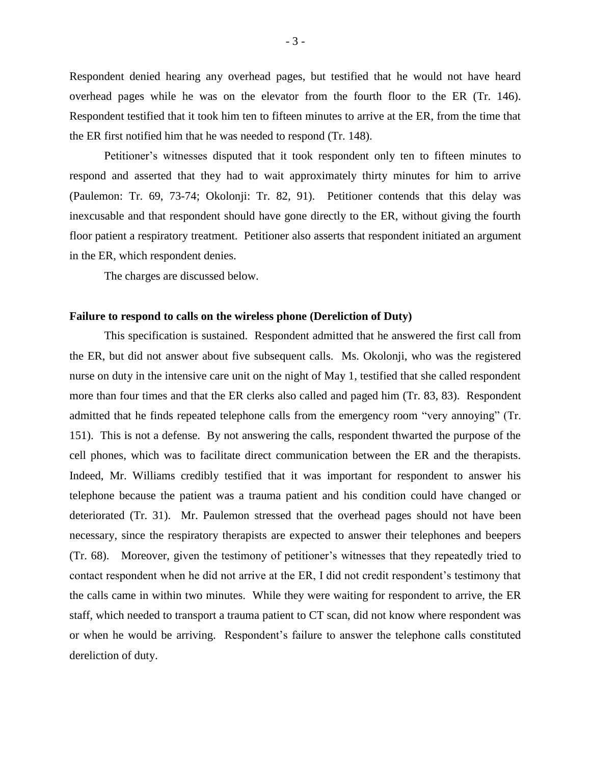Respondent denied hearing any overhead pages, but testified that he would not have heard overhead pages while he was on the elevator from the fourth floor to the ER (Tr. 146). Respondent testified that it took him ten to fifteen minutes to arrive at the ER, from the time that the ER first notified him that he was needed to respond (Tr. 148).

Petitioner's witnesses disputed that it took respondent only ten to fifteen minutes to respond and asserted that they had to wait approximately thirty minutes for him to arrive (Paulemon: Tr. 69, 73-74; Okolonji: Tr. 82, 91). Petitioner contends that this delay was inexcusable and that respondent should have gone directly to the ER, without giving the fourth floor patient a respiratory treatment. Petitioner also asserts that respondent initiated an argument in the ER, which respondent denies.

The charges are discussed below.

#### **Failure to respond to calls on the wireless phone (Dereliction of Duty)**

This specification is sustained. Respondent admitted that he answered the first call from the ER, but did not answer about five subsequent calls. Ms. Okolonji, who was the registered nurse on duty in the intensive care unit on the night of May 1, testified that she called respondent more than four times and that the ER clerks also called and paged him (Tr. 83, 83). Respondent admitted that he finds repeated telephone calls from the emergency room "very annoying" (Tr. 151). This is not a defense. By not answering the calls, respondent thwarted the purpose of the cell phones, which was to facilitate direct communication between the ER and the therapists. Indeed, Mr. Williams credibly testified that it was important for respondent to answer his telephone because the patient was a trauma patient and his condition could have changed or deteriorated (Tr. 31). Mr. Paulemon stressed that the overhead pages should not have been necessary, since the respiratory therapists are expected to answer their telephones and beepers (Tr. 68). Moreover, given the testimony of petitioner's witnesses that they repeatedly tried to contact respondent when he did not arrive at the ER, I did not credit respondent's testimony that the calls came in within two minutes. While they were waiting for respondent to arrive, the ER staff, which needed to transport a trauma patient to CT scan, did not know where respondent was or when he would be arriving. Respondent's failure to answer the telephone calls constituted dereliction of duty.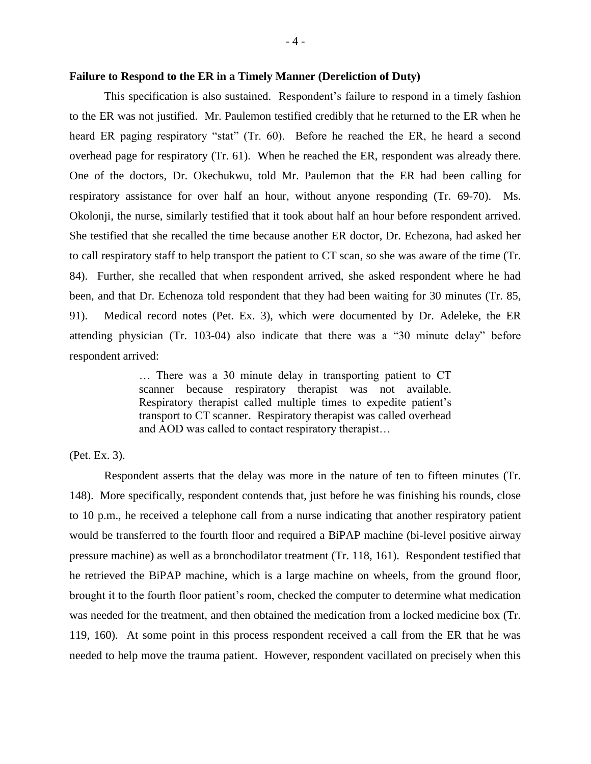## **Failure to Respond to the ER in a Timely Manner (Dereliction of Duty)**

This specification is also sustained. Respondent's failure to respond in a timely fashion to the ER was not justified. Mr. Paulemon testified credibly that he returned to the ER when he heard ER paging respiratory "stat" (Tr. 60). Before he reached the ER, he heard a second overhead page for respiratory (Tr. 61). When he reached the ER, respondent was already there. One of the doctors, Dr. Okechukwu, told Mr. Paulemon that the ER had been calling for respiratory assistance for over half an hour, without anyone responding (Tr. 69-70). Ms. Okolonji, the nurse, similarly testified that it took about half an hour before respondent arrived. She testified that she recalled the time because another ER doctor, Dr. Echezona, had asked her to call respiratory staff to help transport the patient to CT scan, so she was aware of the time (Tr. 84). Further, she recalled that when respondent arrived, she asked respondent where he had been, and that Dr. Echenoza told respondent that they had been waiting for 30 minutes (Tr. 85, 91). Medical record notes (Pet. Ex. 3), which were documented by Dr. Adeleke, the ER attending physician (Tr. 103-04) also indicate that there was a "30 minute delay" before respondent arrived:

> … There was a 30 minute delay in transporting patient to CT scanner because respiratory therapist was not available. Respiratory therapist called multiple times to expedite patient's transport to CT scanner. Respiratory therapist was called overhead and AOD was called to contact respiratory therapist…

## (Pet. Ex. 3).

Respondent asserts that the delay was more in the nature of ten to fifteen minutes (Tr. 148). More specifically, respondent contends that, just before he was finishing his rounds, close to 10 p.m., he received a telephone call from a nurse indicating that another respiratory patient would be transferred to the fourth floor and required a BiPAP machine (bi-level positive airway pressure machine) as well as a bronchodilator treatment (Tr. 118, 161). Respondent testified that he retrieved the BiPAP machine, which is a large machine on wheels, from the ground floor, brought it to the fourth floor patient's room, checked the computer to determine what medication was needed for the treatment, and then obtained the medication from a locked medicine box (Tr. 119, 160). At some point in this process respondent received a call from the ER that he was needed to help move the trauma patient. However, respondent vacillated on precisely when this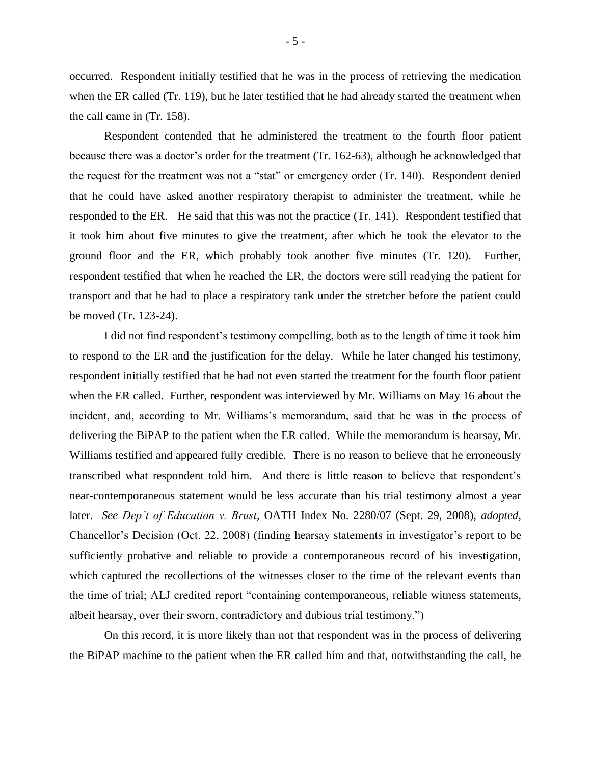occurred. Respondent initially testified that he was in the process of retrieving the medication when the ER called (Tr. 119), but he later testified that he had already started the treatment when the call came in (Tr. 158).

Respondent contended that he administered the treatment to the fourth floor patient because there was a doctor's order for the treatment (Tr. 162-63), although he acknowledged that the request for the treatment was not a "stat" or emergency order (Tr. 140). Respondent denied that he could have asked another respiratory therapist to administer the treatment, while he responded to the ER. He said that this was not the practice (Tr. 141). Respondent testified that it took him about five minutes to give the treatment, after which he took the elevator to the ground floor and the ER, which probably took another five minutes (Tr. 120). Further, respondent testified that when he reached the ER, the doctors were still readying the patient for transport and that he had to place a respiratory tank under the stretcher before the patient could be moved (Tr. 123-24).

I did not find respondent's testimony compelling, both as to the length of time it took him to respond to the ER and the justification for the delay. While he later changed his testimony, respondent initially testified that he had not even started the treatment for the fourth floor patient when the ER called. Further, respondent was interviewed by Mr. Williams on May 16 about the incident, and, according to Mr. Williams's memorandum, said that he was in the process of delivering the BiPAP to the patient when the ER called. While the memorandum is hearsay, Mr. Williams testified and appeared fully credible. There is no reason to believe that he erroneously transcribed what respondent told him. And there is little reason to believe that respondent's near-contemporaneous statement would be less accurate than his trial testimony almost a year later. *See Dep't of Education v. Brust,* OATH Index No. 2280/07 (Sept. 29, 2008), *adopted,*  Chancellor's Decision (Oct. 22, 2008) (finding hearsay statements in investigator's report to be sufficiently probative and reliable to provide a contemporaneous record of his investigation, which captured the recollections of the witnesses closer to the time of the relevant events than the time of trial; ALJ credited report "containing contemporaneous, reliable witness statements, albeit hearsay, over their sworn, contradictory and dubious trial testimony.")

On this record, it is more likely than not that respondent was in the process of delivering the BiPAP machine to the patient when the ER called him and that, notwithstanding the call, he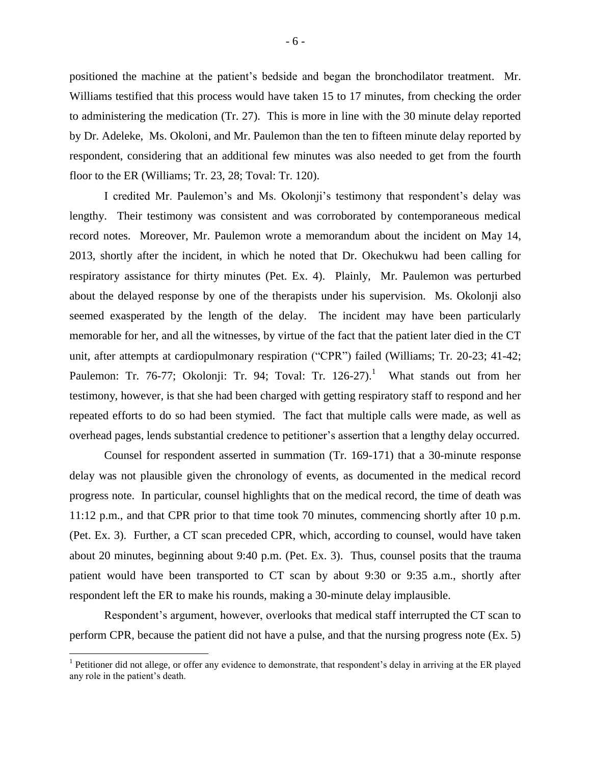positioned the machine at the patient's bedside and began the bronchodilator treatment. Mr. Williams testified that this process would have taken 15 to 17 minutes, from checking the order to administering the medication (Tr. 27). This is more in line with the 30 minute delay reported by Dr. Adeleke, Ms. Okoloni, and Mr. Paulemon than the ten to fifteen minute delay reported by respondent, considering that an additional few minutes was also needed to get from the fourth floor to the ER (Williams; Tr. 23, 28; Toval: Tr. 120).

I credited Mr. Paulemon's and Ms. Okolonji's testimony that respondent's delay was lengthy. Their testimony was consistent and was corroborated by contemporaneous medical record notes. Moreover, Mr. Paulemon wrote a memorandum about the incident on May 14, 2013, shortly after the incident, in which he noted that Dr. Okechukwu had been calling for respiratory assistance for thirty minutes (Pet. Ex. 4). Plainly, Mr. Paulemon was perturbed about the delayed response by one of the therapists under his supervision. Ms. Okolonji also seemed exasperated by the length of the delay. The incident may have been particularly memorable for her, and all the witnesses, by virtue of the fact that the patient later died in the CT unit, after attempts at cardiopulmonary respiration ("CPR") failed (Williams; Tr. 20-23; 41-42; Paulemon: Tr. 76-77; Okolonji: Tr. 94; Toval: Tr. 126-27).<sup>1</sup> What stands out from her testimony, however, is that she had been charged with getting respiratory staff to respond and her repeated efforts to do so had been stymied. The fact that multiple calls were made, as well as overhead pages, lends substantial credence to petitioner's assertion that a lengthy delay occurred.

Counsel for respondent asserted in summation (Tr. 169-171) that a 30-minute response delay was not plausible given the chronology of events, as documented in the medical record progress note. In particular, counsel highlights that on the medical record, the time of death was 11:12 p.m., and that CPR prior to that time took 70 minutes, commencing shortly after 10 p.m. (Pet. Ex. 3). Further, a CT scan preceded CPR, which, according to counsel, would have taken about 20 minutes, beginning about 9:40 p.m. (Pet. Ex. 3). Thus, counsel posits that the trauma patient would have been transported to CT scan by about 9:30 or 9:35 a.m., shortly after respondent left the ER to make his rounds, making a 30-minute delay implausible.

Respondent's argument, however, overlooks that medical staff interrupted the CT scan to perform CPR, because the patient did not have a pulse, and that the nursing progress note (Ex. 5)

 $\overline{a}$ 

<sup>&</sup>lt;sup>1</sup> Petitioner did not allege, or offer any evidence to demonstrate, that respondent's delay in arriving at the ER played any role in the patient's death.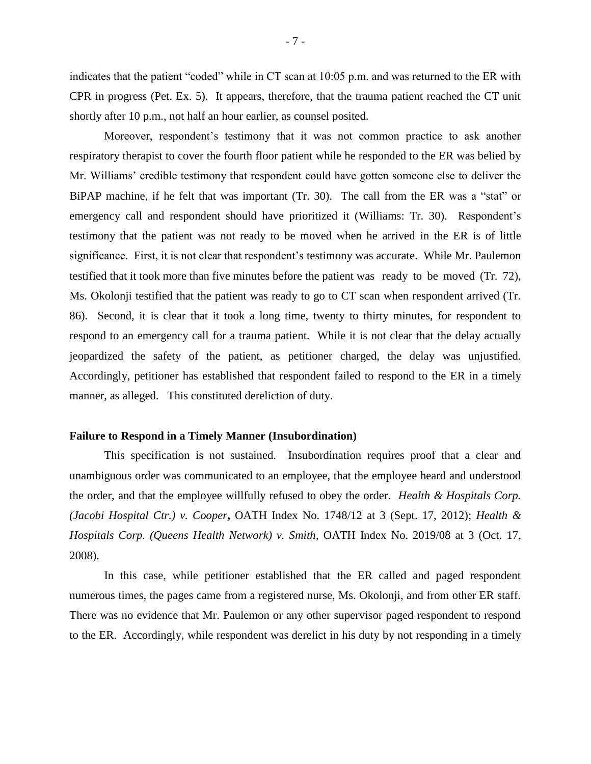indicates that the patient "coded" while in CT scan at 10:05 p.m. and was returned to the ER with CPR in progress (Pet. Ex. 5). It appears, therefore, that the trauma patient reached the CT unit shortly after 10 p.m., not half an hour earlier, as counsel posited.

Moreover, respondent's testimony that it was not common practice to ask another respiratory therapist to cover the fourth floor patient while he responded to the ER was belied by Mr. Williams' credible testimony that respondent could have gotten someone else to deliver the BiPAP machine, if he felt that was important (Tr. 30). The call from the ER was a "stat" or emergency call and respondent should have prioritized it (Williams: Tr. 30). Respondent's testimony that the patient was not ready to be moved when he arrived in the ER is of little significance. First, it is not clear that respondent's testimony was accurate. While Mr. Paulemon testified that it took more than five minutes before the patient was ready to be moved (Tr. 72), Ms. Okolonji testified that the patient was ready to go to CT scan when respondent arrived (Tr. 86). Second, it is clear that it took a long time, twenty to thirty minutes, for respondent to respond to an emergency call for a trauma patient. While it is not clear that the delay actually jeopardized the safety of the patient, as petitioner charged, the delay was unjustified. Accordingly, petitioner has established that respondent failed to respond to the ER in a timely manner, as alleged. This constituted dereliction of duty.

## **Failure to Respond in a Timely Manner (Insubordination)**

This specification is not sustained. Insubordination requires proof that a clear and unambiguous order was communicated to an employee, that the employee heard and understood the order, and that the employee willfully refused to obey the order. *Health & Hospitals Corp. (Jacobi Hospital Ctr.) v. Cooper***,** OATH Index No. 1748/12 at 3 (Sept. 17, 2012); *Health & Hospitals Corp. (Queens Health Network) v. Smith*, OATH Index No. 2019/08 at 3 (Oct. 17, 2008).

In this case, while petitioner established that the ER called and paged respondent numerous times, the pages came from a registered nurse, Ms. Okolonji, and from other ER staff. There was no evidence that Mr. Paulemon or any other supervisor paged respondent to respond to the ER. Accordingly, while respondent was derelict in his duty by not responding in a timely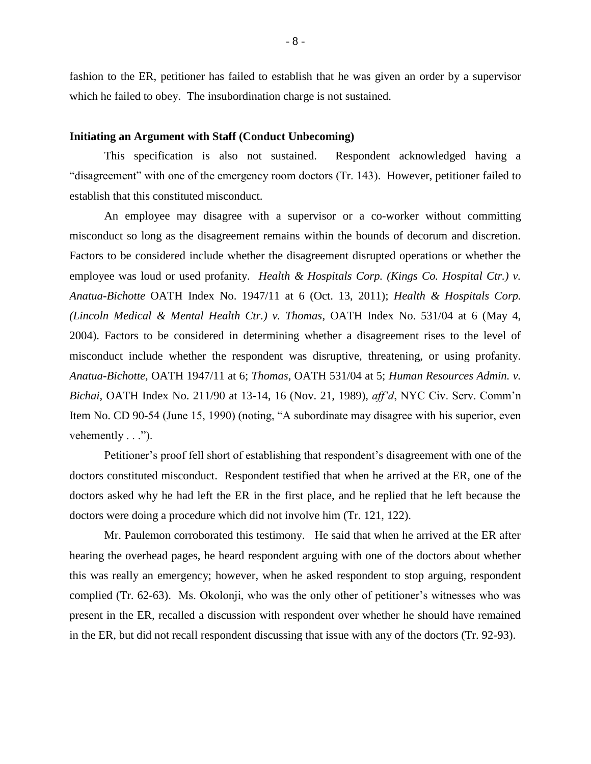fashion to the ER, petitioner has failed to establish that he was given an order by a supervisor which he failed to obey. The insubordination charge is not sustained.

#### **Initiating an Argument with Staff (Conduct Unbecoming)**

This specification is also not sustained. Respondent acknowledged having a "disagreement" with one of the emergency room doctors (Tr. 143). However, petitioner failed to establish that this constituted misconduct.

An employee may disagree with a supervisor or a co-worker without committing misconduct so long as the disagreement remains within the bounds of decorum and discretion. Factors to be considered include whether the disagreement disrupted operations or whether the employee was loud or used profanity. *Health & Hospitals Corp.* (Kings Co. Hospital Ctr.) v. *Anatua-Bichotte* OATH Index No. 1947/11 at 6 (Oct. 13, 2011); *Health & Hospitals Corp. (Lincoln Medical & Mental Health Ctr.) v. Thomas*, OATH Index No. 531/04 at 6 (May 4, 2004). Factors to be considered in determining whether a disagreement rises to the level of misconduct include whether the respondent was disruptive, threatening, or using profanity. *Anatua-Bichotte,* OATH 1947/11 at 6; *Thomas*, OATH 531/04 at 5; *Human Resources Admin. v. Bichai*, OATH Index No. 211/90 at 13-14, 16 (Nov. 21, 1989), *aff'd*, NYC Civ. Serv. Comm'n Item No. CD 90-54 (June 15, 1990) (noting, "A subordinate may disagree with his superior, even vehemently  $\dots$ ").

Petitioner's proof fell short of establishing that respondent's disagreement with one of the doctors constituted misconduct. Respondent testified that when he arrived at the ER, one of the doctors asked why he had left the ER in the first place, and he replied that he left because the doctors were doing a procedure which did not involve him (Tr. 121, 122).

Mr. Paulemon corroborated this testimony. He said that when he arrived at the ER after hearing the overhead pages, he heard respondent arguing with one of the doctors about whether this was really an emergency; however, when he asked respondent to stop arguing, respondent complied (Tr. 62-63). Ms. Okolonji, who was the only other of petitioner's witnesses who was present in the ER, recalled a discussion with respondent over whether he should have remained in the ER, but did not recall respondent discussing that issue with any of the doctors (Tr. 92-93).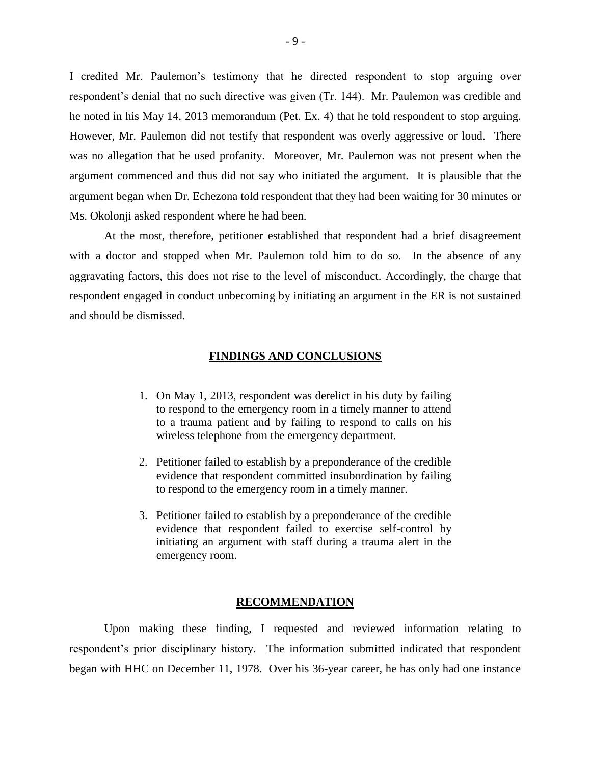I credited Mr. Paulemon's testimony that he directed respondent to stop arguing over respondent's denial that no such directive was given (Tr. 144). Mr. Paulemon was credible and he noted in his May 14, 2013 memorandum (Pet. Ex. 4) that he told respondent to stop arguing. However, Mr. Paulemon did not testify that respondent was overly aggressive or loud. There was no allegation that he used profanity. Moreover, Mr. Paulemon was not present when the argument commenced and thus did not say who initiated the argument. It is plausible that the argument began when Dr. Echezona told respondent that they had been waiting for 30 minutes or Ms. Okolonji asked respondent where he had been.

At the most, therefore, petitioner established that respondent had a brief disagreement with a doctor and stopped when Mr. Paulemon told him to do so. In the absence of any aggravating factors, this does not rise to the level of misconduct. Accordingly, the charge that respondent engaged in conduct unbecoming by initiating an argument in the ER is not sustained and should be dismissed.

## **FINDINGS AND CONCLUSIONS**

- 1. On May 1, 2013, respondent was derelict in his duty by failing to respond to the emergency room in a timely manner to attend to a trauma patient and by failing to respond to calls on his wireless telephone from the emergency department.
- 2. Petitioner failed to establish by a preponderance of the credible evidence that respondent committed insubordination by failing to respond to the emergency room in a timely manner.
- 3. Petitioner failed to establish by a preponderance of the credible evidence that respondent failed to exercise self-control by initiating an argument with staff during a trauma alert in the emergency room.

#### **RECOMMENDATION**

Upon making these finding, I requested and reviewed information relating to respondent's prior disciplinary history. The information submitted indicated that respondent began with HHC on December 11, 1978. Over his 36-year career, he has only had one instance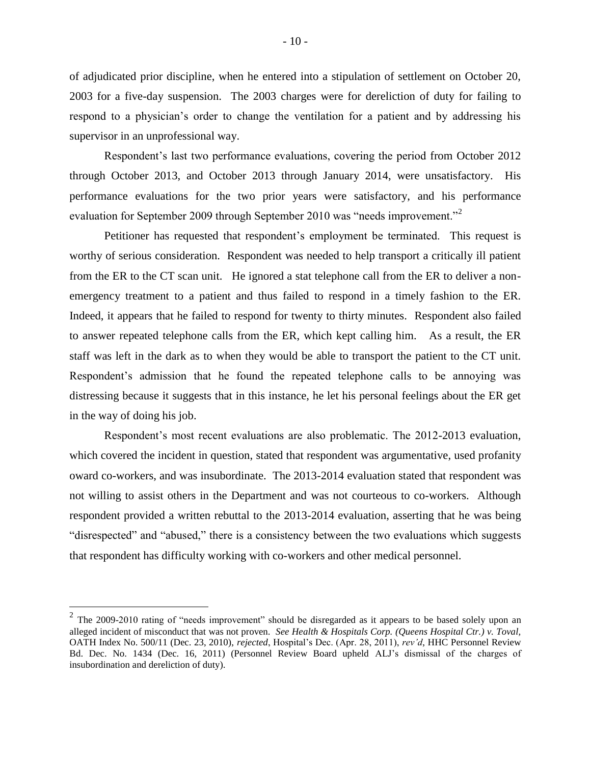of adjudicated prior discipline, when he entered into a stipulation of settlement on October 20, 2003 for a five-day suspension. The 2003 charges were for dereliction of duty for failing to respond to a physician's order to change the ventilation for a patient and by addressing his supervisor in an unprofessional way.

Respondent's last two performance evaluations, covering the period from October 2012 through October 2013, and October 2013 through January 2014, were unsatisfactory. His performance evaluations for the two prior years were satisfactory, and his performance evaluation for September 2009 through September 2010 was "needs improvement."<sup>2</sup>

Petitioner has requested that respondent's employment be terminated. This request is worthy of serious consideration. Respondent was needed to help transport a critically ill patient from the ER to the CT scan unit. He ignored a stat telephone call from the ER to deliver a nonemergency treatment to a patient and thus failed to respond in a timely fashion to the ER. Indeed, it appears that he failed to respond for twenty to thirty minutes. Respondent also failed to answer repeated telephone calls from the ER, which kept calling him. As a result, the ER staff was left in the dark as to when they would be able to transport the patient to the CT unit. Respondent's admission that he found the repeated telephone calls to be annoying was distressing because it suggests that in this instance, he let his personal feelings about the ER get in the way of doing his job.

Respondent's most recent evaluations are also problematic. The 2012-2013 evaluation, which covered the incident in question, stated that respondent was argumentative, used profanity oward co-workers, and was insubordinate. The 2013-2014 evaluation stated that respondent was not willing to assist others in the Department and was not courteous to co-workers. Although respondent provided a written rebuttal to the 2013-2014 evaluation, asserting that he was being "disrespected" and "abused," there is a consistency between the two evaluations which suggests that respondent has difficulty working with co-workers and other medical personnel.

 $\overline{a}$ 

<sup>&</sup>lt;sup>2</sup> The 2009-2010 rating of "needs improvement" should be disregarded as it appears to be based solely upon an alleged incident of misconduct that was not proven. *See Health & Hospitals Corp. (Queens Hospital Ctr.) v. Toval,*  OATH Index No. 500/11 (Dec. 23, 2010), *rejected*, Hospital's Dec. (Apr. 28, 2011), *rev'd*, HHC Personnel Review Bd. Dec. No. 1434 (Dec. 16, 2011) (Personnel Review Board upheld ALJ's dismissal of the charges of insubordination and dereliction of duty).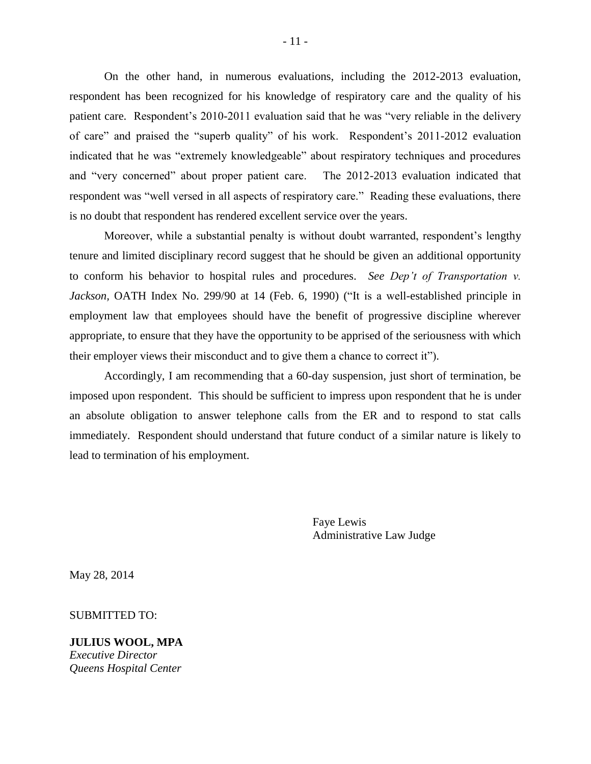On the other hand, in numerous evaluations, including the 2012-2013 evaluation, respondent has been recognized for his knowledge of respiratory care and the quality of his patient care. Respondent's 2010-2011 evaluation said that he was "very reliable in the delivery of care" and praised the "superb quality" of his work. Respondent's 2011-2012 evaluation indicated that he was "extremely knowledgeable" about respiratory techniques and procedures and "very concerned" about proper patient care. The 2012-2013 evaluation indicated that respondent was "well versed in all aspects of respiratory care." Reading these evaluations, there is no doubt that respondent has rendered excellent service over the years.

Moreover, while a substantial penalty is without doubt warranted, respondent's lengthy tenure and limited disciplinary record suggest that he should be given an additional opportunity to conform his behavior to hospital rules and procedures. *See Dep't of Transportation v. Jackson,* OATH Index No. 299/90 at 14 (Feb. 6, 1990) ("It is a well-established principle in employment law that employees should have the benefit of progressive discipline wherever appropriate, to ensure that they have the opportunity to be apprised of the seriousness with which their employer views their misconduct and to give them a chance to correct it").

Accordingly, I am recommending that a 60-day suspension, just short of termination, be imposed upon respondent. This should be sufficient to impress upon respondent that he is under an absolute obligation to answer telephone calls from the ER and to respond to stat calls immediately. Respondent should understand that future conduct of a similar nature is likely to lead to termination of his employment.

> Faye Lewis Administrative Law Judge

May 28, 2014

SUBMITTED TO:

**JULIUS WOOL, MPA**  *Executive Director Queens Hospital Center*